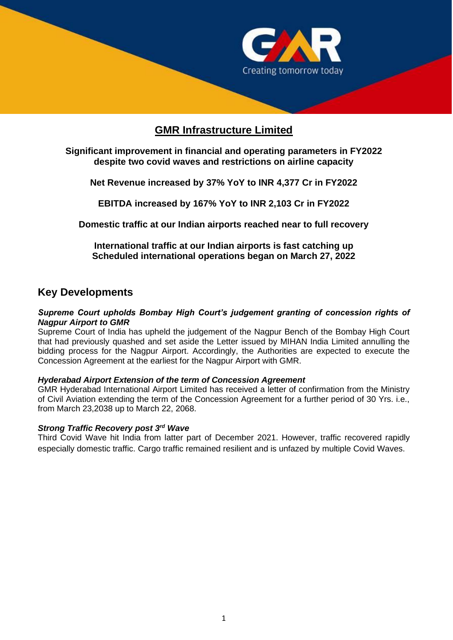

# **GMR Infrastructure Limited**

## **Significant improvement in financial and operating parameters in FY2022 despite two covid waves and restrictions on airline capacity**

**Net Revenue increased by 37% YoY to INR 4,377 Cr in FY2022**

**EBITDA increased by 167% YoY to INR 2,103 Cr in FY2022**

**Domestic traffic at our Indian airports reached near to full recovery** 

**International traffic at our Indian airports is fast catching up Scheduled international operations began on March 27, 2022**

## **Key Developments**

#### *Supreme Court upholds Bombay High Court's judgement granting of concession rights of Nagpur Airport to GMR*

Supreme Court of India has upheld the judgement of the Nagpur Bench of the Bombay High Court that had previously quashed and set aside the Letter issued by MIHAN India Limited annulling the bidding process for the Nagpur Airport. Accordingly, the Authorities are expected to execute the Concession Agreement at the earliest for the Nagpur Airport with GMR.

## *Hyderabad Airport Extension of the term of Concession Agreement*

GMR Hyderabad International Airport Limited has received a letter of confirmation from the Ministry of Civil Aviation extending the term of the Concession Agreement for a further period of 30 Yrs. i.e., from March 23,2038 up to March 22, 2068.

#### *Strong Traffic Recovery post 3rd Wave*

Third Covid Wave hit India from latter part of December 2021. However, traffic recovered rapidly especially domestic traffic. Cargo traffic remained resilient and is unfazed by multiple Covid Waves.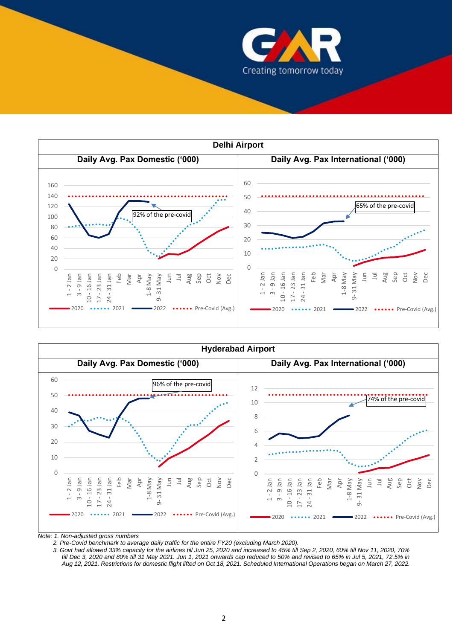





*Note: 1. Non-adjusted gross numbers*

 *2. Pre-Covid benchmark to average daily traffic for the entire FY20 (excluding March 2020).*

 *3. Govt had allowed 33% capacity for the airlines till Jun 25, 2020 and increased to 45% till Sep 2, 2020, 60% till Nov 11, 2020, 70% till Dec 3, 2020 and 80% till 31 May 2021. Jun 1, 2021 onwards cap reduced to 50% and revised to 65% in Jul 5, 2021, 72.5% in Aug 12, 2021. Restrictions for domestic flight lifted on Oct 18, 2021. Scheduled International Operations began on March 27, 2022.*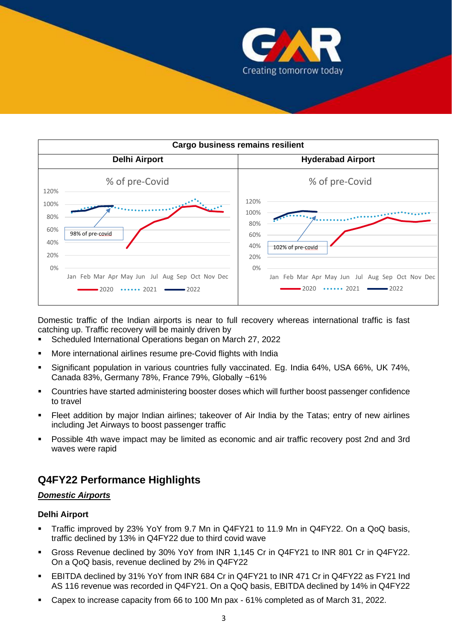

| <b>Cargo business remains resilient</b> |                                                 |                                                                    |  |  |  |  |  |
|-----------------------------------------|-------------------------------------------------|--------------------------------------------------------------------|--|--|--|--|--|
|                                         | <b>Delhi Airport</b>                            | <b>Hyderabad Airport</b>                                           |  |  |  |  |  |
| 120%                                    | % of pre-Covid                                  | % of pre-Covid                                                     |  |  |  |  |  |
| 100%                                    |                                                 | 120%<br>100%                                                       |  |  |  |  |  |
| 80%<br>60%                              |                                                 | 80%                                                                |  |  |  |  |  |
| 40%                                     | 98% of pre-covid                                | 60%<br>40%<br>102% of pre-covid                                    |  |  |  |  |  |
| 20%                                     |                                                 | 20%                                                                |  |  |  |  |  |
| 0%                                      | Jan Feb Mar Apr May Jun Jul Aug Sep Oct Nov Dec | 0%<br>Jan Feb Mar Apr May Jun Jul Aug Sep Oct Nov Dec              |  |  |  |  |  |
|                                         | $-2020$ $\cdots$ 2021 $\cdots$ 2022             | $\cdots$ 2021 $\longrightarrow$ 2022<br>$\blacktriangleright$ 2020 |  |  |  |  |  |

Domestic traffic of the Indian airports is near to full recovery whereas international traffic is fast catching up. Traffic recovery will be mainly driven by

- Scheduled International Operations began on March 27, 2022
- More international airlines resume pre-Covid flights with India
- Significant population in various countries fully vaccinated. Eg. India 64%, USA 66%, UK 74%, Canada 83%, Germany 78%, France 79%, Globally ~61%
- Countries have started administering booster doses which will further boost passenger confidence to travel
- Fleet addition by major Indian airlines; takeover of Air India by the Tatas; entry of new airlines including Jet Airways to boost passenger traffic
- Possible 4th wave impact may be limited as economic and air traffic recovery post 2nd and 3rd waves were rapid

## **Q4FY22 Performance Highlights**

#### *Domestic Airports*

#### **Delhi Airport**

- Traffic improved by 23% YoY from 9.7 Mn in Q4FY21 to 11.9 Mn in Q4FY22. On a QoQ basis, traffic declined by 13% in Q4FY22 due to third covid wave
- Gross Revenue declined by 30% YoY from INR 1,145 Cr in Q4FY21 to INR 801 Cr in Q4FY22. On a QoQ basis, revenue declined by 2% in Q4FY22
- EBITDA declined by 31% YoY from INR 684 Cr in Q4FY21 to INR 471 Cr in Q4FY22 as FY21 Ind AS 116 revenue was recorded in Q4FY21. On a QoQ basis, EBITDA declined by 14% in Q4FY22
- Capex to increase capacity from 66 to 100 Mn pax 61% completed as of March 31, 2022.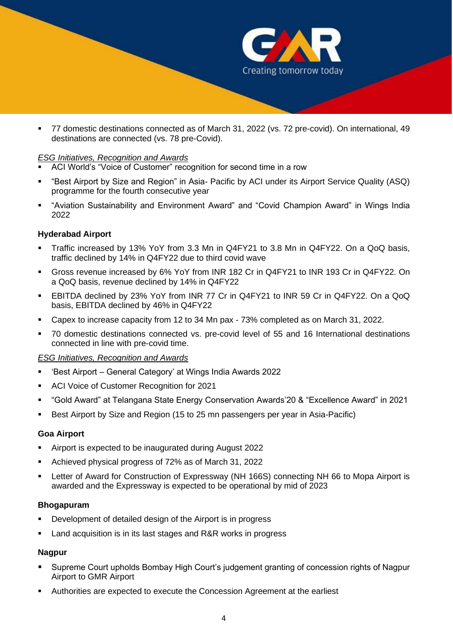

■ 77 domestic destinations connected as of March 31, 2022 (vs. 72 pre-covid). On international, 49 destinations are connected (vs. 78 pre-Covid).

#### *ESG Initiatives, Recognition and Awards*

- ACI World's "Voice of Customer" recognition for second time in a row
- "Best Airport by Size and Region" in Asia- Pacific by ACI under its Airport Service Quality (ASQ) programme for the fourth consecutive year
- "Aviation Sustainability and Environment Award" and "Covid Champion Award" in Wings India 2022

### **Hyderabad Airport**

- Traffic increased by 13% YoY from 3.3 Mn in Q4FY21 to 3.8 Mn in Q4FY22. On a QoQ basis, traffic declined by 14% in Q4FY22 due to third covid wave
- Gross revenue increased by 6% YoY from INR 182 Cr in Q4FY21 to INR 193 Cr in Q4FY22. On a QoQ basis, revenue declined by 14% in Q4FY22
- EBITDA declined by 23% YoY from INR 77 Cr in Q4FY21 to INR 59 Cr in Q4FY22. On a QoQ basis, EBITDA declined by 46% in Q4FY22
- Capex to increase capacity from 12 to 34 Mn pax 73% completed as on March 31, 2022.
- 70 domestic destinations connected vs. pre-covid level of 55 and 16 International destinations connected in line with pre-covid time.

#### *ESG Initiatives, Recognition and Awards*

- 'Best Airport General Category' at Wings India Awards 2022
- ACI Voice of Customer Recognition for 2021
- "Gold Award" at Telangana State Energy Conservation Awards'20 & "Excellence Award" in 2021
- Best Airport by Size and Region (15 to 25 mn passengers per year in Asia-Pacific)

#### **Goa Airport**

- Airport is expected to be inaugurated during August 2022
- Achieved physical progress of 72% as of March 31, 2022
- Letter of Award for Construction of Expressway (NH 166S) connecting NH 66 to Mopa Airport is awarded and the Expressway is expected to be operational by mid of 2023

#### **Bhogapuram**

- Development of detailed design of the Airport is in progress
- Land acquisition is in its last stages and R&R works in progress

#### **Nagpur**

- Supreme Court upholds Bombay High Court's judgement granting of concession rights of Nagpur Airport to GMR Airport
- Authorities are expected to execute the Concession Agreement at the earliest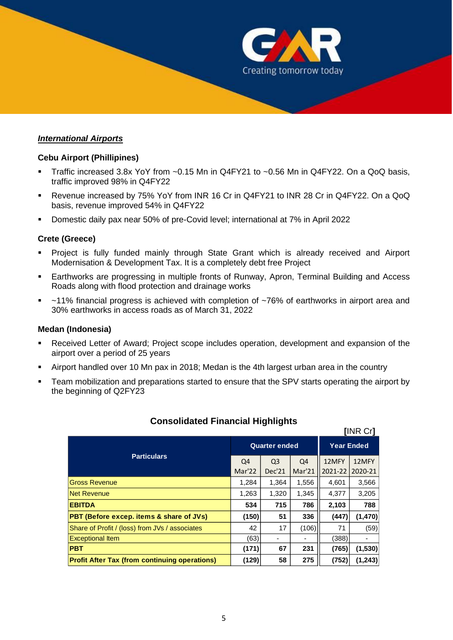

#### *International Airports*

#### **Cebu Airport (Phillipines)**

- **•** Traffic increased 3.8x YoY from  $\sim 0.15$  Mn in Q4FY21 to  $\sim 0.56$  Mn in Q4FY22. On a QoQ basis, traffic improved 98% in Q4FY22
- Revenue increased by 75% YoY from INR 16 Cr in Q4FY21 to INR 28 Cr in Q4FY22. On a QoQ basis, revenue improved 54% in Q4FY22
- Domestic daily pax near 50% of pre-Covid level; international at 7% in April 2022

#### **Crete (Greece)**

- Project is fully funded mainly through State Grant which is already received and Airport Modernisation & Development Tax. It is a completely debt free Project
- **Earthworks are progressing in multiple fronts of Runway, Apron, Terminal Building and Access** Roads along with flood protection and drainage works
- ~11% financial progress is achieved with completion of ~76% of earthworks in airport area and 30% earthworks in access roads as of March 31, 2022

#### **Medan (Indonesia)**

- Received Letter of Award; Project scope includes operation, development and expansion of the airport over a period of 25 years
- Airport handled over 10 Mn pax in 2018; Medan is the 4th largest urban area in the country
- Team mobilization and preparations started to ensure that the SPV starts operating the airport by the beginning of Q2FY23

| <b>[INR Cr]</b>                                      |                      |                |        |                   |          |  |  |  |
|------------------------------------------------------|----------------------|----------------|--------|-------------------|----------|--|--|--|
|                                                      | <b>Quarter ended</b> |                |        | <b>Year Ended</b> |          |  |  |  |
| <b>Particulars</b>                                   | Q4                   | Q <sub>3</sub> | Q4     | 12MFY             | 12MFY    |  |  |  |
|                                                      | Mar'22               | Dec'21         | Mar'21 | 2021-22           | 2020-21  |  |  |  |
| <b>Gross Revenue</b>                                 |                      | 1,364          | 1,556  | 4,601             | 3,566    |  |  |  |
| Net Revenue                                          | 1,263                | 1,320          | 1,345  | 4,377             | 3,205    |  |  |  |
| <b>EBITDA</b>                                        |                      | 715            | 786    | 2,103             | 788      |  |  |  |
| <b>PBT (Before excep. items &amp; share of JVs)</b>  | (150)                | 51             | 336    | (447)             | (1, 470) |  |  |  |
| Share of Profit / (loss) from JVs / associates       | 42                   | 17             | (106)  | 71                | (59)     |  |  |  |
| <b>Exceptional Item</b>                              | (63)                 |                |        | (388)             |          |  |  |  |
| <b>PBT</b>                                           | (171)                | 67             | 231    | (765)             | (1,530)  |  |  |  |
| <b>Profit After Tax (from continuing operations)</b> | (129)                | 58             | 275    | (752)             | (1, 243) |  |  |  |

## **Consolidated Financial Highlights**